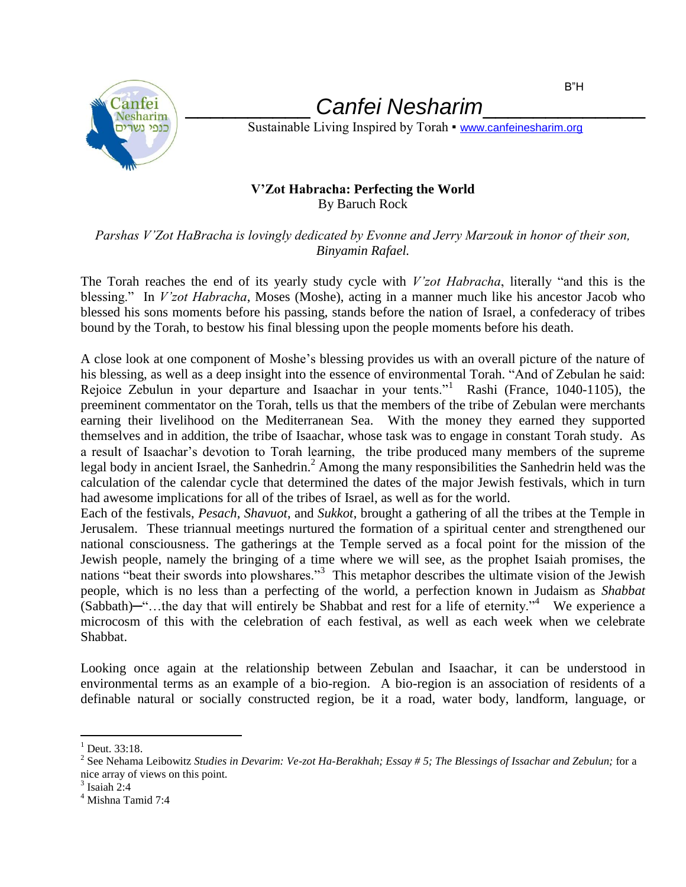

\_\_\_\_\_\_\_\_\_\_ *Canfei Nesharim*\_\_\_\_\_\_\_\_\_\_\_\_\_

Sustainable Living Inspired by Torah • [www.canfeinesharim.org](http://www.canfeinesharim.org/)

## **V'Zot Habracha: Perfecting the World** By Baruch Rock

*Parshas V'Zot HaBracha is lovingly dedicated by Evonne and Jerry Marzouk in honor of their son, Binyamin Rafael.*

The Torah reaches the end of its yearly study cycle with *V'zot Habracha*, literally "and this is the blessing." In *V'zot Habracha*, Moses (Moshe), acting in a manner much like his ancestor Jacob who blessed his sons moments before his passing, stands before the nation of Israel, a confederacy of tribes bound by the Torah, to bestow his final blessing upon the people moments before his death.

A close look at one component of Moshe's blessing provides us with an overall picture of the nature of his blessing, as well as a deep insight into the essence of environmental Torah. "And of Zebulan he said: Rejoice Zebulun in your departure and Isaachar in your tents."<sup>1</sup> Rashi (France, 1040-1105), the preeminent commentator on the Torah, tells us that the members of the tribe of Zebulan were merchants earning their livelihood on the Mediterranean Sea. With the money they earned they supported themselves and in addition, the tribe of Isaachar, whose task was to engage in constant Torah study. As a result of Isaachar's devotion to Torah learning, the tribe produced many members of the supreme legal body in ancient Israel, the Sanhedrin.<sup>2</sup> Among the many responsibilities the Sanhedrin held was the calculation of the calendar cycle that determined the dates of the major Jewish festivals, which in turn had awesome implications for all of the tribes of Israel, as well as for the world.

Each of the festivals, *Pesach*, *Shavuot*, and *Sukkot*, brought a gathering of all the tribes at the Temple in Jerusalem. These triannual meetings nurtured the formation of a spiritual center and strengthened our national consciousness. The gatherings at the Temple served as a focal point for the mission of the Jewish people, namely the bringing of a time where we will see, as the prophet Isaiah promises, the nations "beat their swords into plowshares."<sup>3</sup> This metaphor describes the ultimate vision of the Jewish people, which is no less than a perfecting of the world, a perfection known in Judaism as *Shabbat*  $(Sabbath)$ —"...the day that will entirely be Shabbat and rest for a life of eternity."<sup>4</sup> We experience a microcosm of this with the celebration of each festival, as well as each week when we celebrate Shabbat.

Looking once again at the relationship between Zebulan and Isaachar, it can be understood in environmental terms as an example of a bio-region. A bio-region is an association of residents of a definable natural or socially constructed region, be it a road, water body, landform, language, or

 $\overline{a}$ 

 $1$  Deut. 33:18.

<sup>&</sup>lt;sup>2</sup> See Nehama Leibowitz *Studies in Devarim: Ve-zot Ha-Berakhah; Essay # 5; The Blessings of Issachar and Zebulun; for a* nice array of views on this point.

 $3$  Isaiah 2:4

<sup>&</sup>lt;sup>4</sup> Mishna Tamid 7:4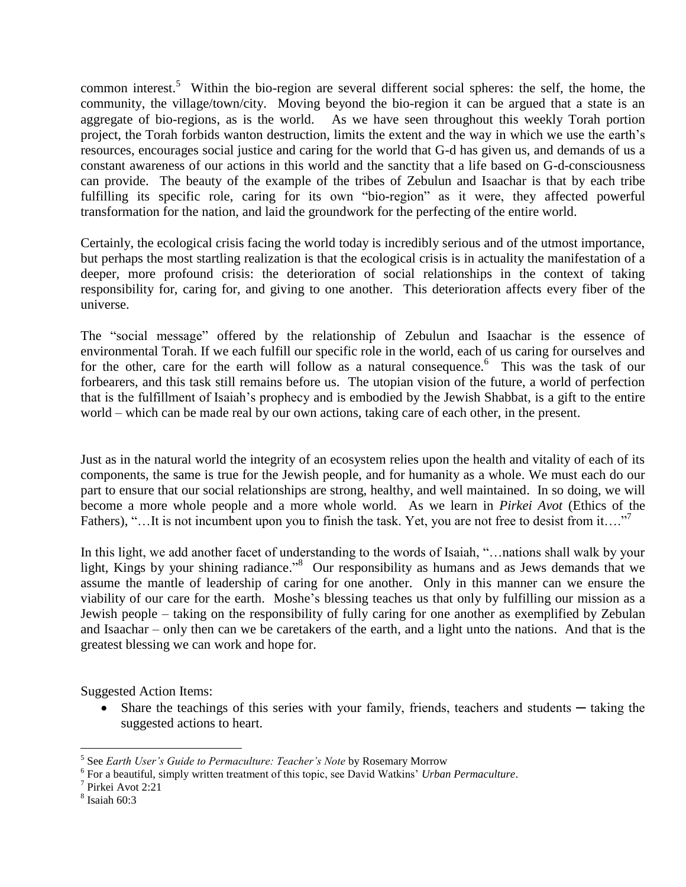common interest.<sup>5</sup> Within the bio-region are several different social spheres: the self, the home, the community, the village/town/city. Moving beyond the bio-region it can be argued that a state is an aggregate of bio-regions, as is the world. As we have seen throughout this weekly Torah portion project, the Torah forbids wanton destruction, limits the extent and the way in which we use the earth's resources, encourages social justice and caring for the world that G-d has given us, and demands of us a constant awareness of our actions in this world and the sanctity that a life based on G-d-consciousness can provide. The beauty of the example of the tribes of Zebulun and Isaachar is that by each tribe fulfilling its specific role, caring for its own "bio-region" as it were, they affected powerful transformation for the nation, and laid the groundwork for the perfecting of the entire world.

Certainly, the ecological crisis facing the world today is incredibly serious and of the utmost importance, but perhaps the most startling realization is that the ecological crisis is in actuality the manifestation of a deeper, more profound crisis: the deterioration of social relationships in the context of taking responsibility for, caring for, and giving to one another. This deterioration affects every fiber of the universe.

The "social message" offered by the relationship of Zebulun and Isaachar is the essence of environmental Torah. If we each fulfill our specific role in the world, each of us caring for ourselves and for the other, care for the earth will follow as a natural consequence.<sup>6</sup> This was the task of our forbearers, and this task still remains before us. The utopian vision of the future, a world of perfection that is the fulfillment of Isaiah's prophecy and is embodied by the Jewish Shabbat, is a gift to the entire world – which can be made real by our own actions, taking care of each other, in the present.

Just as in the natural world the integrity of an ecosystem relies upon the health and vitality of each of its components, the same is true for the Jewish people, and for humanity as a whole. We must each do our part to ensure that our social relationships are strong, healthy, and well maintained. In so doing, we will become a more whole people and a more whole world. As we learn in *Pirkei Avot* (Ethics of the Fathers), "…It is not incumbent upon you to finish the task. Yet, you are not free to desist from it…."

In this light, we add another facet of understanding to the words of Isaiah, "…nations shall walk by your light, Kings by your shining radiance."<sup>8</sup> Our responsibility as humans and as Jews demands that we assume the mantle of leadership of caring for one another. Only in this manner can we ensure the viability of our care for the earth. Moshe's blessing teaches us that only by fulfilling our mission as a Jewish people – taking on the responsibility of fully caring for one another as exemplified by Zebulan and Isaachar – only then can we be caretakers of the earth, and a light unto the nations. And that is the greatest blessing we can work and hope for.

Suggested Action Items:

• Share the teachings of this series with your family, friends, teachers and students — taking the suggested actions to heart.

 $\overline{a}$ 

<sup>&</sup>lt;sup>5</sup> See *Earth User's Guide to Permaculture: Teacher's Note* by Rosemary Morrow

<sup>6</sup> For a beautiful, simply written treatment of this topic, see David Watkins' *Urban Permaculture*.

<sup>7</sup> Pirkei Avot 2:21

<sup>8</sup> Isaiah 60:3